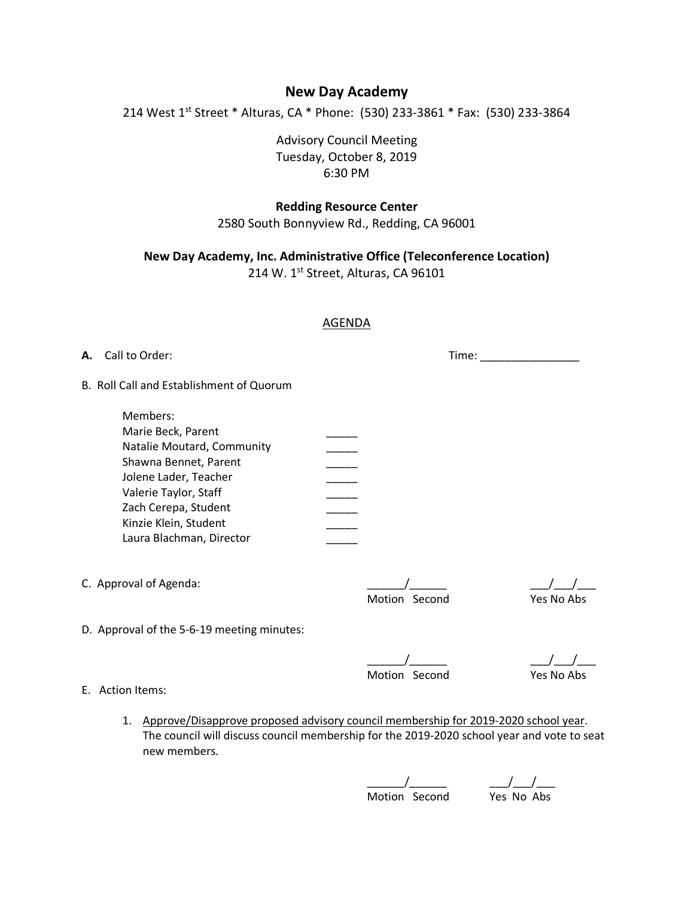# **New Day Academy**

214 West 1<sup>st</sup> Street \* Alturas, CA \* Phone: (530) 233-3861 \* Fax: (530) 233-3864

Advisory Council Meeting Tuesday, October 8, 2019 6:30 PM

# **Redding Resource Center**

2580 South Bonnyview Rd., Redding, CA 96001

**New Day Academy, Inc. Administrative Office (Teleconference Location)**

214 W. 1st Street, Alturas, CA 96101

# AGENDA

**A.** Call to Order: Time: \_\_\_\_\_\_\_\_\_\_\_\_\_\_\_\_

B. Roll Call and Establishment of Quorum

| Members:                   |  |
|----------------------------|--|
| Marie Beck, Parent         |  |
| Natalie Moutard, Community |  |
| Shawna Bennet, Parent      |  |
| Jolene Lader, Teacher      |  |
| Valerie Taylor, Staff      |  |
| Zach Cerepa, Student       |  |
| Kinzie Klein, Student      |  |
| Laura Blachman, Director   |  |

C. Approval of Agenda:

D. Approval of the 5-6-19 meeting minutes:

Motion Second Yes No Abs

\_\_\_\_\_\_/\_\_\_\_\_\_ \_\_\_/\_\_\_/\_\_\_ Motion Second Yes No Abs

- E. Action Items:
	- 1. Approve/Disapprove proposed advisory council membership for 2019-2020 school year. The council will discuss council membership for the 2019-2020 school year and vote to seat new members.

\_\_\_\_\_\_/\_\_\_\_\_\_ \_\_\_/\_\_\_/\_\_\_ Motion Second Yes No Abs